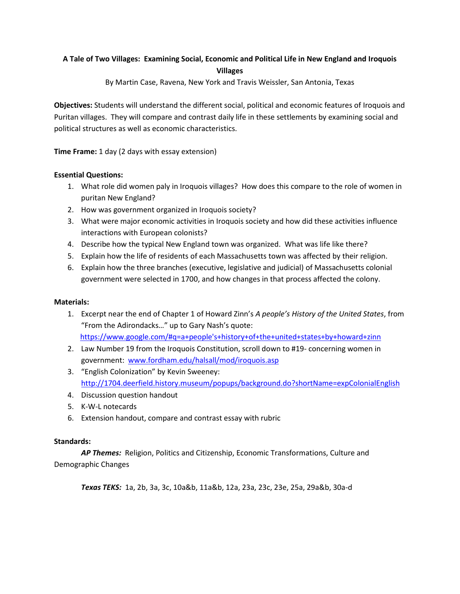## **A Tale of Two Villages: Examining Social, Economic and Political Life in New England and Iroquois Villages**

By Martin Case, Ravena, New York and Travis Weissler, San Antonia, Texas

**Objectives:** Students will understand the different social, political and economic features of Iroquois and Puritan villages. They will compare and contrast daily life in these settlements by examining social and political structures as well as economic characteristics.

**Time Frame:** 1 day (2 days with essay extension)

#### **Essential Questions:**

- 1. What role did women paly in Iroquois villages? How does this compare to the role of women in puritan New England?
- 2. How was government organized in Iroquois society?
- 3. What were major economic activities in Iroquois society and how did these activities influence interactions with European colonists?
- 4. Describe how the typical New England town was organized. What was life like there?
- 5. Explain how the life of residents of each Massachusetts town was affected by their religion.
- 6. Explain how the three branches (executive, legislative and judicial) of Massachusetts colonial government were selected in 1700, and how changes in that process affected the colony.

#### **Materials:**

- 1. Excerpt near the end of Chapter 1 of Howard Zinn's *A people's History of the United States*, from "From the Adirondacks…" up to Gary Nash's quote: [https://www.google.com/#q=a+people's+history+of+the+united+states+by+howard+zinn](https://www.google.com/#q=a+people)
- 2. Law Number 19 from the Iroquois Constitution, scroll down to #19- concerning women in government: [www.fordham.edu/halsall/mod/iroquois.asp](http://www.fordham.edu/halsall/mod/iroquois.asp)
- 3. "English Colonization" by Kevin Sweeney: <http://1704.deerfield.history.museum/popups/background.do?shortName=expColonialEnglish>
- 4. Discussion question handout
- 5. K-W-L notecards
- 6. Extension handout, compare and contrast essay with rubric

#### **Standards:**

*AP Themes:* Religion, Politics and Citizenship, Economic Transformations, Culture and Demographic Changes

*Texas TEKS:* 1a, 2b, 3a, 3c, 10a&b, 11a&b, 12a, 23a, 23c, 23e, 25a, 29a&b, 30a-d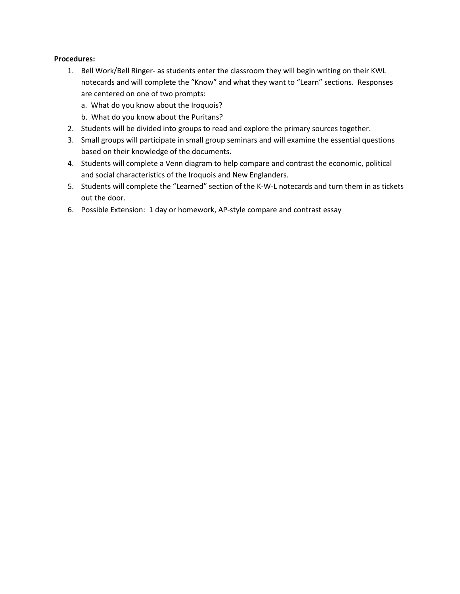#### **Procedures:**

- 1. Bell Work/Bell Ringer- as students enter the classroom they will begin writing on their KWL notecards and will complete the "Know" and what they want to "Learn" sections. Responses are centered on one of two prompts:
	- a. What do you know about the Iroquois?
	- b. What do you know about the Puritans?
- 2. Students will be divided into groups to read and explore the primary sources together.
- 3. Small groups will participate in small group seminars and will examine the essential questions based on their knowledge of the documents.
- 4. Students will complete a Venn diagram to help compare and contrast the economic, political and social characteristics of the Iroquois and New Englanders.
- 5. Students will complete the "Learned" section of the K-W-L notecards and turn them in as tickets out the door.
- 6. Possible Extension: 1 day or homework, AP-style compare and contrast essay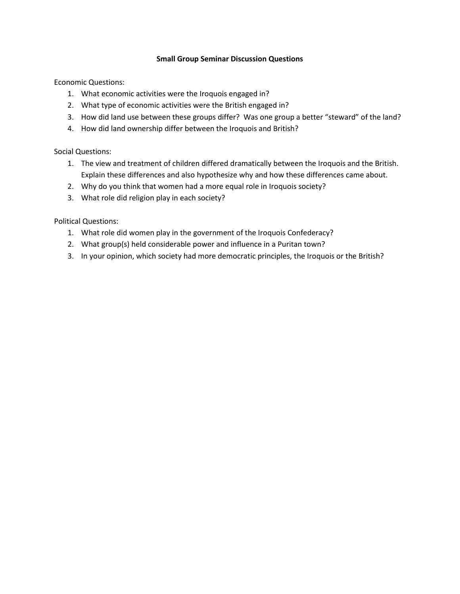#### **Small Group Seminar Discussion Questions**

Economic Questions:

- 1. What economic activities were the Iroquois engaged in?
- 2. What type of economic activities were the British engaged in?
- 3. How did land use between these groups differ? Was one group a better "steward" of the land?
- 4. How did land ownership differ between the Iroquois and British?

Social Questions:

- 1. The view and treatment of children differed dramatically between the Iroquois and the British. Explain these differences and also hypothesize why and how these differences came about.
- 2. Why do you think that women had a more equal role in Iroquois society?
- 3. What role did religion play in each society?

Political Questions:

- 1. What role did women play in the government of the Iroquois Confederacy?
- 2. What group(s) held considerable power and influence in a Puritan town?
- 3. In your opinion, which society had more democratic principles, the Iroquois or the British?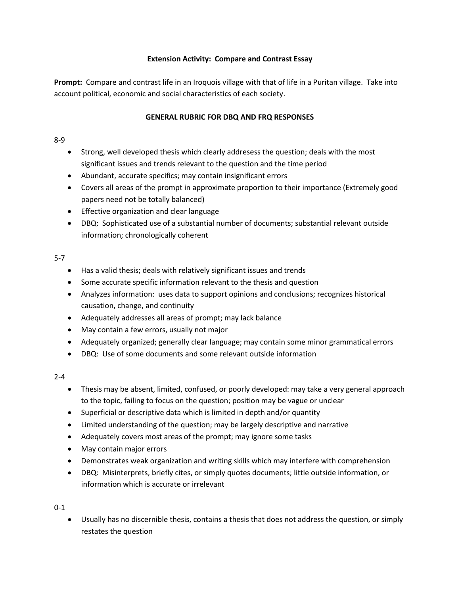## **Extension Activity: Compare and Contrast Essay**

**Prompt:** Compare and contrast life in an Iroquois village with that of life in a Puritan village. Take into account political, economic and social characteristics of each society.

## **GENERAL RUBRIC FOR DBQ AND FRQ RESPONSES**

#### 8-9

- Strong, well developed thesis which clearly addresess the question; deals with the most significant issues and trends relevant to the question and the time period
- Abundant, accurate specifics; may contain insignificant errors
- Covers all areas of the prompt in approximate proportion to their importance (Extremely good papers need not be totally balanced)
- Effective organization and clear language
- DBQ: Sophisticated use of a substantial number of documents; substantial relevant outside information; chronologically coherent

## 5-7

- Has a valid thesis; deals with relatively significant issues and trends
- Some accurate specific information relevant to the thesis and question
- Analyzes information: uses data to support opinions and conclusions; recognizes historical causation, change, and continuity
- Adequately addresses all areas of prompt; may lack balance
- May contain a few errors, usually not major
- Adequately organized; generally clear language; may contain some minor grammatical errors
- DBQ: Use of some documents and some relevant outside information

## 2-4

- Thesis may be absent, limited, confused, or poorly developed: may take a very general approach to the topic, failing to focus on the question; position may be vague or unclear
- Superficial or descriptive data which is limited in depth and/or quantity
- Limited understanding of the question; may be largely descriptive and narrative
- Adequately covers most areas of the prompt; may ignore some tasks
- May contain major errors
- Demonstrates weak organization and writing skills which may interfere with comprehension
- DBQ: Misinterprets, briefly cites, or simply quotes documents; little outside information, or information which is accurate or irrelevant

## 0-1

• Usually has no discernible thesis, contains a thesis that does not address the question, or simply restates the question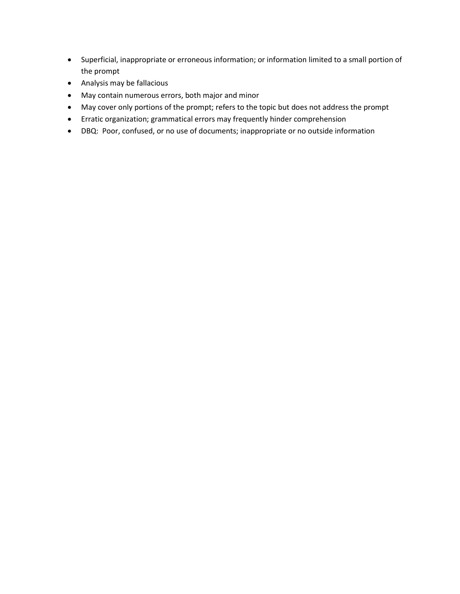- Superficial, inappropriate or erroneous information; or information limited to a small portion of the prompt
- Analysis may be fallacious
- May contain numerous errors, both major and minor
- May cover only portions of the prompt; refers to the topic but does not address the prompt
- Erratic organization; grammatical errors may frequently hinder comprehension
- DBQ: Poor, confused, or no use of documents; inappropriate or no outside information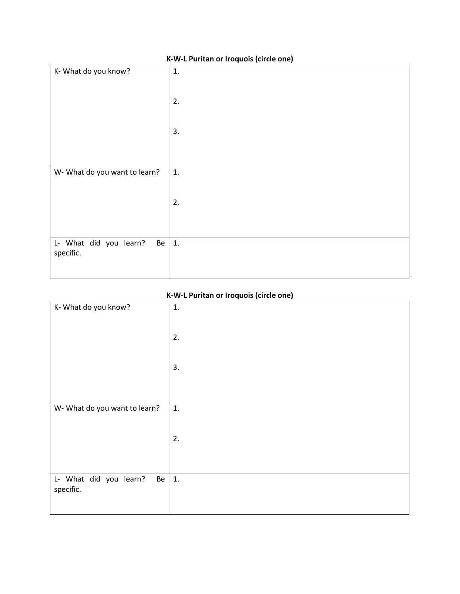| 1.       |
|----------|
| 2.       |
|          |
| 3.       |
|          |
| 1.       |
| 2.       |
|          |
|          |
| 1.<br>Be |
|          |
|          |

# **K-W-L Puritan or Iroquois (circle one)**

# **K-W-L Puritan or Iroquois (circle one)**

| K- What do you know?                                | 1. |
|-----------------------------------------------------|----|
|                                                     | 2. |
|                                                     | 3. |
|                                                     |    |
| W- What do you want to learn?                       | 1. |
|                                                     | 2. |
|                                                     |    |
| L- What did you learn?<br>$Be \mid 1.$<br>specific. |    |
|                                                     |    |